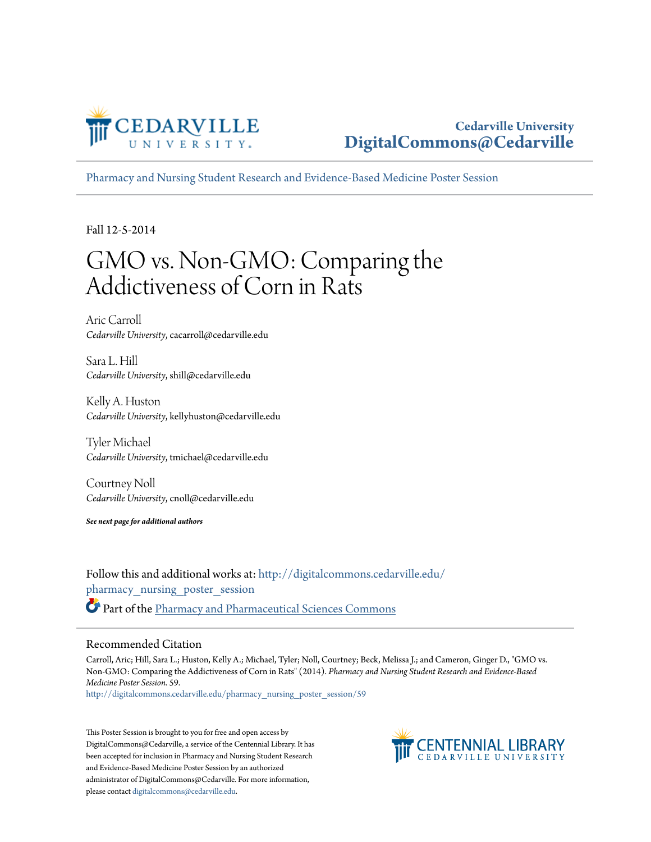

#### **Cedarville University [DigitalCommons@Cedarville](http://digitalcommons.cedarville.edu?utm_source=digitalcommons.cedarville.edu%2Fpharmacy_nursing_poster_session%2F59&utm_medium=PDF&utm_campaign=PDFCoverPages)**

[Pharmacy and Nursing Student Research and Evidence-Based Medicine Poster Session](http://digitalcommons.cedarville.edu/pharmacy_nursing_poster_session?utm_source=digitalcommons.cedarville.edu%2Fpharmacy_nursing_poster_session%2F59&utm_medium=PDF&utm_campaign=PDFCoverPages)

Fall 12-5-2014

#### GMO vs. Non-GMO: Comparing the Addictiveness of Corn in Rats

Aric Carroll *Cedarville University*, cacarroll@cedarville.edu

Sara L. Hill *Cedarville University*, shill@cedarville.edu

Kelly A. Huston *Cedarville University*, kellyhuston@cedarville.edu

Tyler Michael *Cedarville University*, tmichael@cedarville.edu

Courtney Noll *Cedarville University*, cnoll@cedarville.edu

*See next page for additional authors*

Follow this and additional works at: [http://digitalcommons.cedarville.edu/](http://digitalcommons.cedarville.edu/pharmacy_nursing_poster_session?utm_source=digitalcommons.cedarville.edu%2Fpharmacy_nursing_poster_session%2F59&utm_medium=PDF&utm_campaign=PDFCoverPages) [pharmacy\\_nursing\\_poster\\_session](http://digitalcommons.cedarville.edu/pharmacy_nursing_poster_session?utm_source=digitalcommons.cedarville.edu%2Fpharmacy_nursing_poster_session%2F59&utm_medium=PDF&utm_campaign=PDFCoverPages) Part of the [Pharmacy and Pharmaceutical Sciences Commons](http://network.bepress.com/hgg/discipline/731?utm_source=digitalcommons.cedarville.edu%2Fpharmacy_nursing_poster_session%2F59&utm_medium=PDF&utm_campaign=PDFCoverPages)

#### Recommended Citation

Carroll, Aric; Hill, Sara L.; Huston, Kelly A.; Michael, Tyler; Noll, Courtney; Beck, Melissa J.; and Cameron, Ginger D., "GMO vs. Non-GMO: Comparing the Addictiveness of Corn in Rats" (2014). *Pharmacy and Nursing Student Research and Evidence-Based Medicine Poster Session*. 59.

[http://digitalcommons.cedarville.edu/pharmacy\\_nursing\\_poster\\_session/59](http://digitalcommons.cedarville.edu/pharmacy_nursing_poster_session/59?utm_source=digitalcommons.cedarville.edu%2Fpharmacy_nursing_poster_session%2F59&utm_medium=PDF&utm_campaign=PDFCoverPages)

This Poster Session is brought to you for free and open access by DigitalCommons@Cedarville, a service of the Centennial Library. It has been accepted for inclusion in Pharmacy and Nursing Student Research and Evidence-Based Medicine Poster Session by an authorized administrator of DigitalCommons@Cedarville. For more information, please contact [digitalcommons@cedarville.edu.](mailto:digitalcommons@cedarville.edu)

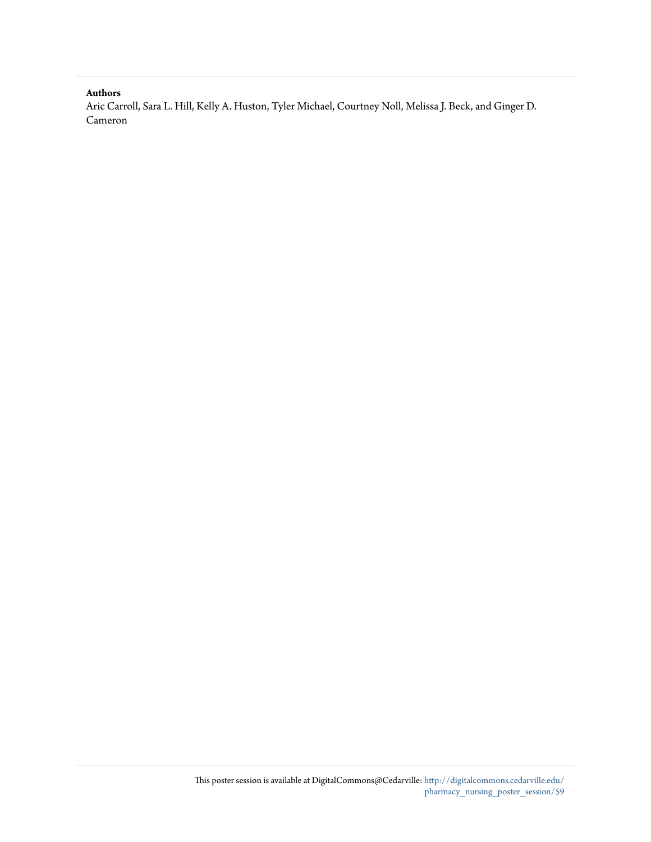#### **Authors**

Aric Carroll, Sara L. Hill, Kelly A. Huston, Tyler Michael, Courtney Noll, Melissa J. Beck, and Ginger D. Cameron